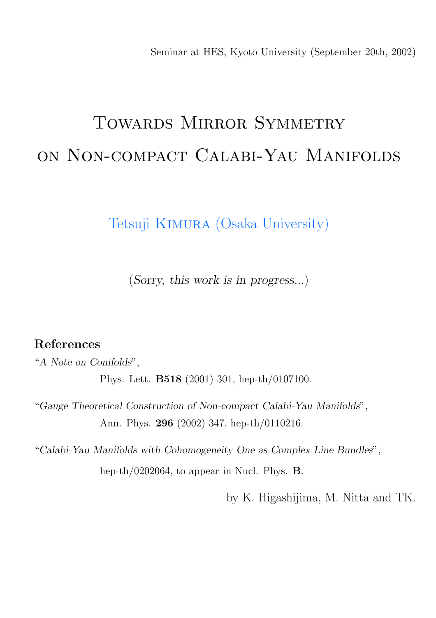Seminar at HES, Kyoto University (September 20th, 2002)

# TOWARDS MIRROR SYMMETRY on Non-compact Calabi-Yau Manifolds

Tetsuji Kimura (Osaka University)

(Sorry, this work is in progress...)

#### References

"A Note on Conifolds", Phys. Lett. B518 (2001) 301, hep-th/0107100.

"Gauge Theoretical Construction of Non-compact Calabi-Yau Manifolds", Ann. Phys. 296 (2002) 347, hep-th/0110216.

"Calabi-Yau Manifolds with Cohomogeneity One as Complex Line Bundles", hep-th/0202064, to appear in Nucl. Phys. B.

by K. Higashijima, M. Nitta and TK.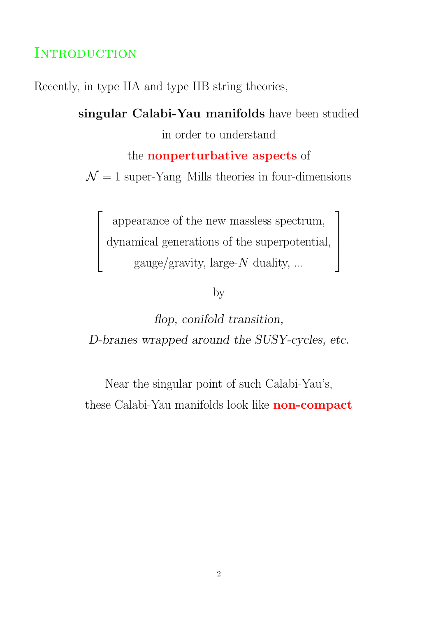### **INTRODUCTION**

 $\sqrt{ }$ 

 $\left| \right|$  $\left| \right|$  $\overline{1}$ 

Recently, in type IIA and type IIB string theories,

singular Calabi-Yau manifolds have been studied in order to understand the nonperturbative aspects of

 $\mathcal{N}=1$  super-Yang–Mills theories in four-dimensions

appearance of the new massless spectrum, dynamical generations of the superpotential, gauge/gravity, large- $N$  duality, ...

 $\overline{\phantom{a}}$ 

 $\mathbf{I}$  $\mathbf{I}$  $\overline{1}$ 

by

flop, conifold transition, D-branes wrapped around the SUSY-cycles, etc.

Near the singular point of such Calabi-Yau's, these Calabi-Yau manifolds look like **non-compact**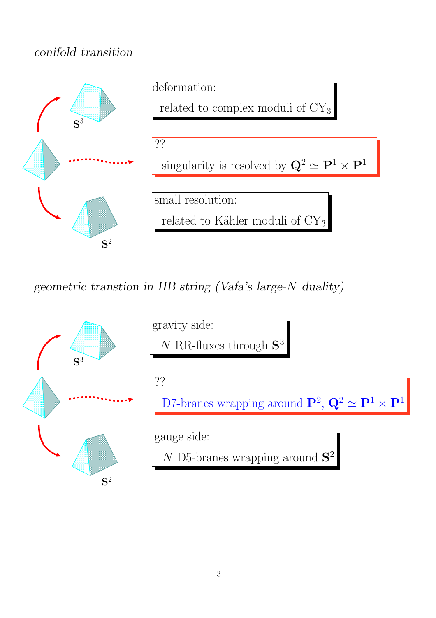#### conifold transition



geometric transtion in IIB string (Vafa's large-N duality)

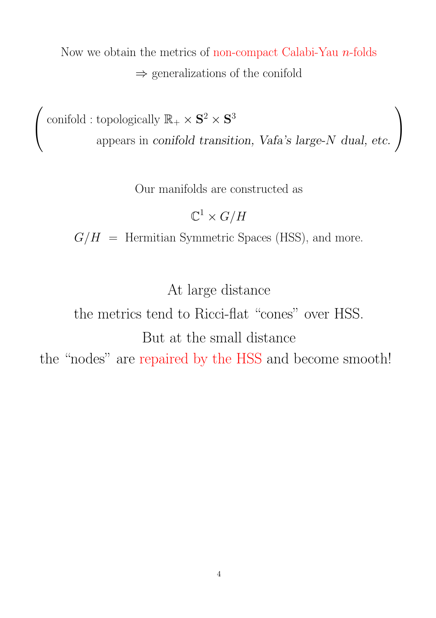Now we obtain the metrics of non-compact Calabi-Yau n-folds  $\Rightarrow$  generalizations of the conifold

 $\sqrt{ }$  $\overline{1}$ conifold : topologically  $\mathbb{R}_+ \times \mathbf{S}^2 \times \mathbf{S}^3$ appears in conifold transition, Vafa's large-N dual, etc.  $\setminus$  $\overline{1}$ 

Our manifolds are constructed as

 $\mathbb{C}^1 \times G/H$ 

 $G/H$  = Hermitian Symmetric Spaces (HSS), and more.

At large distance

# the metrics tend to Ricci-flat "cones" over HSS. But at the small distance the "nodes" are repaired by the HSS and become smooth!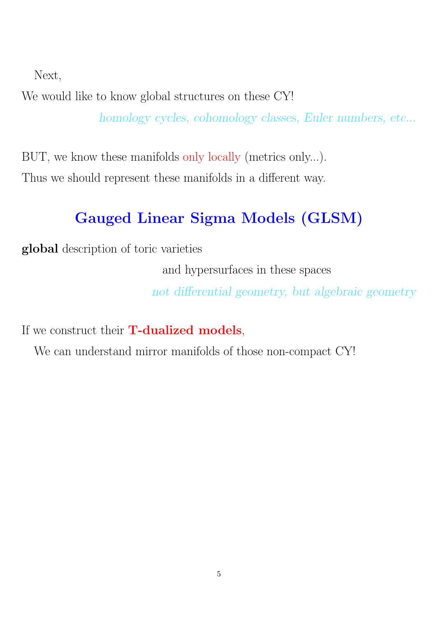Next,

We would like to know global structures on these CY! homology cycles, cohomology classes, Euler numbers, etc...

BUT, we know these manifolds only locally (metrics only...). Thus we should represent these manifolds in a different way.

# Gauged Linear Sigma Models (GLSM)

global description of toric varieties

and hypersurfaces in these spaces

not differential geometry, but algebraic geometry

If we construct their **T-dualized models**,

We can understand mirror manifolds of those non-compact CY!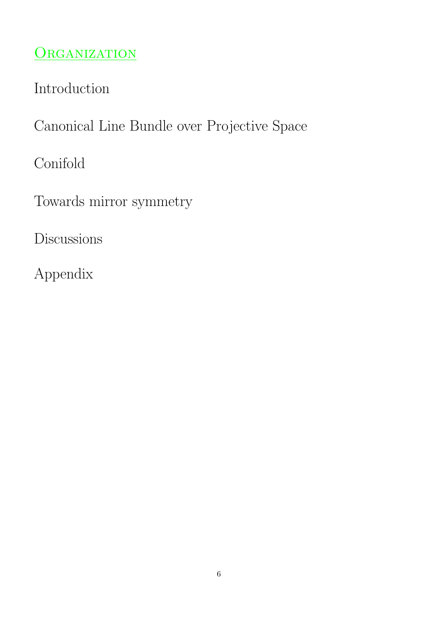# ORGANIZATION

Introduction

Canonical Line Bundle over Projective Space

Conifold

Towards mirror symmetry

**Discussions** 

Appendix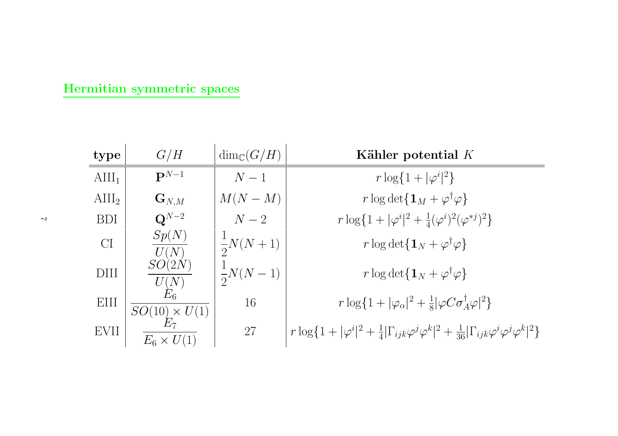#### Hermitian symmetric spaces

| type            | G/H                          | $\dim_{\mathbb{C}}(G/H)$ | Kähler potential $K$                                                                                                                                       |
|-----------------|------------------------------|--------------------------|------------------------------------------------------------------------------------------------------------------------------------------------------------|
| $\text{AlII}_1$ | $\mathbf{P}^{N-1}$           | $N-1$                    | $r \log\{1 +  \varphi^{i} ^{2}\}\$                                                                                                                         |
| $\text{AlII}_2$ | $\mathbf{G}_{N,M}$           | $M(N-M)$                 | $r \log \det \{ \mathbf{1}_M + \varphi^{\dagger} \varphi \}$                                                                                               |
| <b>BDI</b>      | $\mathbf{Q}^{N-2}$           | $N-2$                    | $r \log\{1+ \varphi^i ^2+\frac{1}{4}(\varphi^i)^2(\varphi^{*j})^2\}$                                                                                       |
| CI              | Sp(N)<br>U(N)                | $\frac{1}{2}N(N+1)$      | $r \log \det \{ \mathbf{1}_N + \varphi^{\dagger} \varphi \}$                                                                                               |
| <b>DIII</b>     | SO(2N)<br>$\frac{U(N)}{E_6}$ | $\frac{1}{2}N(N-1)$      | $r \log \det \{ \mathbf{1}_N + \varphi^{\dagger} \varphi \}$                                                                                               |
| EIII            | $SO(10) \times U(1)$         | 16                       | $r \log\{1+ \varphi_{\alpha} ^{2}+\frac{1}{8} \varphi C\sigma_{A}^{\dagger}\varphi ^{2}\}$                                                                 |
| EVII            | $E_6 \times U(1)$            | 27                       | $r \log\{1 +  \varphi^{i} ^{2} + \frac{1}{4} \Gamma_{ijk}\varphi^{j}\varphi^{k} ^{2} + \frac{1}{36} \Gamma_{ijk}\varphi^{i}\varphi^{j}\varphi^{k} ^{2}\}\$ |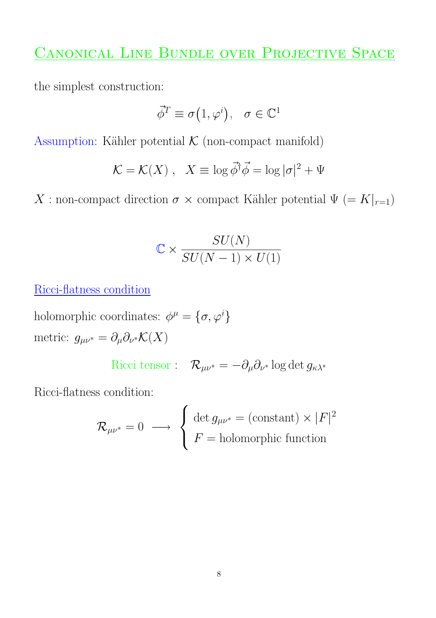### CANONICAL LINE BUNDLE OVER PROJECTIVE SPACE

the simplest construction:

$$
\vec{\phi}^T \equiv \sigma(1, \varphi^i), \quad \sigma \in \mathbb{C}^1
$$

Assumption: Kähler potential  $K$  (non-compact manifold)

$$
\mathcal{K} = \mathcal{K}(X) , \quad X \equiv \log \vec{\phi}^{\dagger} \vec{\phi} = \log |\sigma|^2 + \Psi
$$

X : non-compact direction  $\sigma \times$  compact Kähler potential  $\Psi (= K|_{r=1})$ 

$$
\mathbb{C} \times \frac{SU(N)}{SU(N-1) \times U(1)}
$$

Ricci-flatness condition

holomorphic coordinates:  $\phi^{\mu} = {\sigma, \varphi^{i}}$ metric:  $g_{\mu\nu^*} = \partial_\mu \partial_{\nu^*} \mathcal{K}(X)$ 

Ricci tensor :  $\mathcal{R}_{\mu\nu^*} = -\partial_\mu \partial_{\nu^*} \log \det g_{\kappa\lambda^*}$ 

Ricci-flatness condition:

$$
\mathcal{R}_{\mu\nu^*} = 0 \longrightarrow \left\{ \begin{array}{l} \det g_{\mu\nu^*} = (\text{constant}) \times |F|^2 \\ F = \text{holomorphic function} \end{array} \right.
$$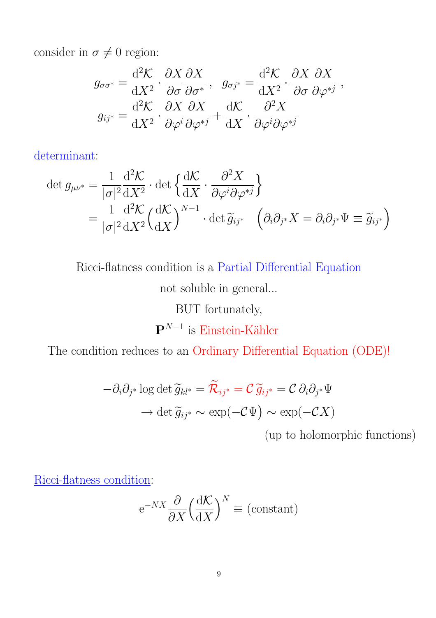consider in  $\sigma \neq 0$  region:

$$
g_{\sigma\sigma^*} = \frac{\mathrm{d}^2 \mathcal{K}}{\mathrm{d}X^2} \cdot \frac{\partial X}{\partial \sigma} \frac{\partial X}{\partial \sigma^*}, \quad g_{\sigma j^*} = \frac{\mathrm{d}^2 \mathcal{K}}{\mathrm{d}X^2} \cdot \frac{\partial X}{\partial \sigma} \frac{\partial X}{\partial \varphi^{*j}},
$$

$$
g_{ij^*} = \frac{\mathrm{d}^2 \mathcal{K}}{\mathrm{d}X^2} \cdot \frac{\partial X}{\partial \varphi^i} \frac{\partial X}{\partial \varphi^{*j}} + \frac{\mathrm{d} \mathcal{K}}{\mathrm{d}X} \cdot \frac{\partial^2 X}{\partial \varphi^i \partial \varphi^{*j}}
$$

determinant:

$$
\det g_{\mu\nu^*} = \frac{1}{|\sigma|^2} \frac{d^2 \mathcal{K}}{dX^2} \cdot \det \left\{ \frac{d\mathcal{K}}{dX} \cdot \frac{\partial^2 X}{\partial \varphi^i \partial \varphi^{*j}} \right\} \n= \frac{1}{|\sigma|^2} \frac{d^2 \mathcal{K}}{dX^2} \left( \frac{d\mathcal{K}}{dX} \right)^{N-1} \cdot \det \widetilde{g}_{ij^*} \quad \left( \partial_i \partial_{j^*} X = \partial_i \partial_{j^*} \Psi \equiv \widetilde{g}_{ij^*} \right)
$$

Ricci-flatness condition is a Partial Differential Equation

not soluble in general...

BUT fortunately,

 $\mathbf{P}^{N-1}$  is Einstein-Kähler

The condition reduces to an Ordinary Differential Equation (ODE)!

$$
-\partial_i \partial_{j^*} \log \det \widetilde{g}_{kl^*} = \widetilde{\mathcal{R}}_{ij^*} = \mathcal{C} \widetilde{g}_{ij^*} = \mathcal{C} \partial_i \partial_{j^*} \Psi
$$

$$
\to \det \widetilde{g}_{ij^*} \sim \exp(-\mathcal{C}\Psi) \sim \exp(-\mathcal{C}X)
$$

(up to holomorphic functions)

Ricci-flatness condition:

$$
e^{-NX} \frac{\partial}{\partial X} \left(\frac{d\mathcal{K}}{dX}\right)^N \equiv \text{(constant)}
$$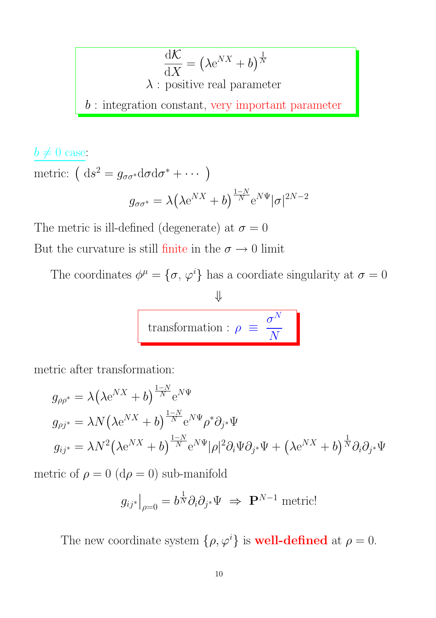$$
\frac{d\mathcal{K}}{dX} = (\lambda e^{NX} + b)^{\frac{1}{N}}
$$
  
 $\lambda$ : positive real parameter  
 $b$ : integration constant, very important parameter

$$
\frac{b \neq 0 \text{ case:}}{\text{metric: } \left(\mathrm{d}s^2 = g_{\sigma\sigma^*}\mathrm{d}\sigma\mathrm{d}\sigma^* + \cdots\right)}
$$

$$
g_{\sigma\sigma^*} = \lambda \left(\lambda \mathrm{e}^{NX} + b\right)^{\frac{1-N}{N}} \mathrm{e}^{N\Psi} |\sigma|^{2N-2}
$$

The metric is ill-defined (degenerate) at  $\sigma = 0$ 

But the curvature is still finite in the  $\sigma\rightarrow 0$  limit

The coordinates  $\phi^{\mu} = {\sigma, \varphi^{i}}$  has a coordiate singularity at  $\sigma = 0$ 

$$
\Downarrow
$$
\n
$$
\text{transformation}: \rho \equiv \frac{\sigma^N}{N}
$$

metric after transformation:

$$
g_{\rho\rho^*} = \lambda \left(\lambda e^{NX} + b\right)^{\frac{1-N}{N}} e^{N\Psi}
$$
  
\n
$$
g_{\rho j^*} = \lambda N \left(\lambda e^{NX} + b\right)^{\frac{1-N}{N}} e^{N\Psi} \rho^* \partial_{j^*} \Psi
$$
  
\n
$$
g_{ij^*} = \lambda N^2 \left(\lambda e^{NX} + b\right)^{\frac{1-N}{N}} e^{N\Psi} |\rho|^2 \partial_i \Psi \partial_{j^*} \Psi + \left(\lambda e^{NX} + b\right)^{\frac{1}{N}} \partial_i \partial_{j^*} \Psi
$$

metric of  $\rho=0$   $(\mathrm{d}\rho=0)$  sub-manifold

$$
g_{ij^*}\big|_{\rho=0} = b^{\frac{1}{N}} \partial_i \partial_{j^*} \Psi \implies \mathbf{P}^{N-1} \text{ metric}!
$$

The new coordinate system  $\{\rho, \varphi^i\}$  is **well-defined** at  $\rho = 0$ .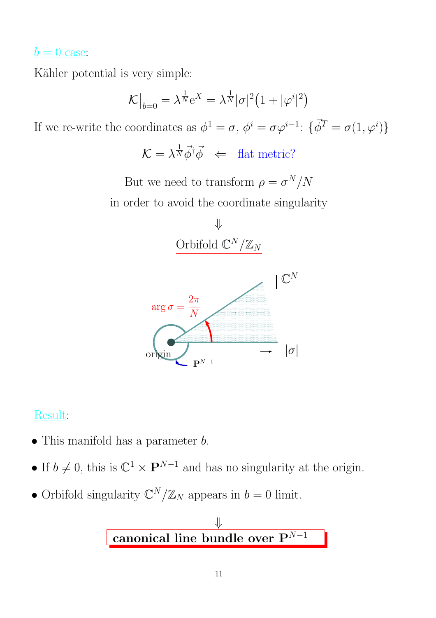### $b = 0$  case:

Kähler potential is very simple:

$$
\mathcal{K}\big|_{b=0} = \lambda^{\frac{1}{N}} \mathrm{e}^X = \lambda^{\frac{1}{N}} |\sigma|^2 \big( 1 + |\varphi^i|^2 \big)
$$

If we re-write the coordinates as  $\phi^1 = \sigma$ ,  $\phi^i = \sigma \varphi^{i-1}$ :  $\{\vec{\phi}^T = \sigma(1, \varphi^i)\}$ 

 $\mathcal{K} = \lambda^{\frac{1}{N}} \vec{\phi}^{\dagger} \vec{\phi} \iff \text{flat metric?}$ 

But we need to transform  $\rho = \sigma^N/N$ in order to avoid the coordinate singularity



PSfrag replacements



### Result:

- This manifold has a parameter  $b$ .
- If  $b \neq 0$ , this is  $\mathbb{C}^1 \times \mathbb{P}^{N-1}$  and has no singularity at the origin.
- Orbifold singularity  $\mathbb{C}^N/\mathbb{Z}_N$  appears in  $b=0$  limit.

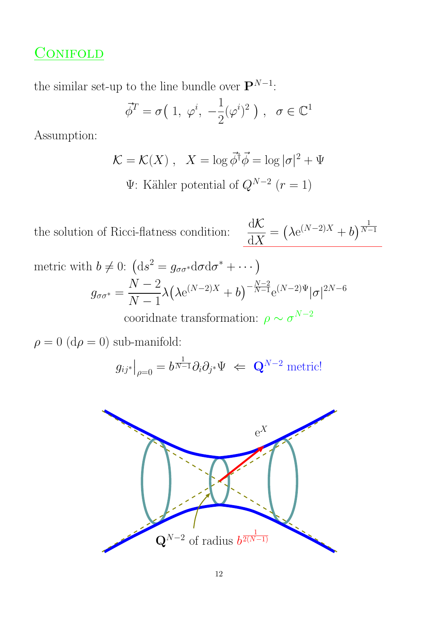### **CONIFOLD**

the similar set-up to the line bundle over  $\mathbf{P}^{N-1}$ :

$$
\vec{\phi}^T = \sigma(1, \varphi^i, -\frac{1}{2}(\varphi^i)^2), \ \sigma \in \mathbb{C}^1
$$

Assumption:

$$
\mathcal{K} = \mathcal{K}(X) , \quad X = \log \vec{\phi}^{\dagger} \vec{\phi} = \log |\sigma|^2 + \Psi
$$
  

$$
\Psi \text{: Kähler potential of } Q^{N-2} \ (r = 1)
$$

the solution of Ricci-flatness condition:  $\frac{d\mathcal{K}}{d\mathbf{V}}$  $dX$  $= (\lambda e^{(N-2)X} + b)^{\frac{1}{N-2}}$  $N-1$ metric with  $b \neq 0$ :  $(ds^2 = g_{\sigma\sigma^*}d\sigma d\sigma^* + \cdots)$  $g_{\sigma\sigma^*}=\frac{N-2}{N-1}$  $N-1$  $\lambda\big(\lambda{\rm e}^{(N-2)X}+b\big)^{-{N-2\over N-1}}$  $\sqrt[N-1]{n-1}e^{(N-2)\Psi}|\sigma|^{2N-6}$ 

cooridnate transformation:  $\rho \sim \sigma^{N-2}$ 

$$
\rho = 0 \; (\mathrm{d}\rho = 0) \; \mathrm{sub-manifold} \colon
$$

$$
g_{ij^*}\big|_{\rho=0} = b^{\frac{1}{N-1}} \partial_i \partial_{j^*} \Psi \iff \mathbf{Q}^{N-2}
$$
 metric!



PSfrag replacements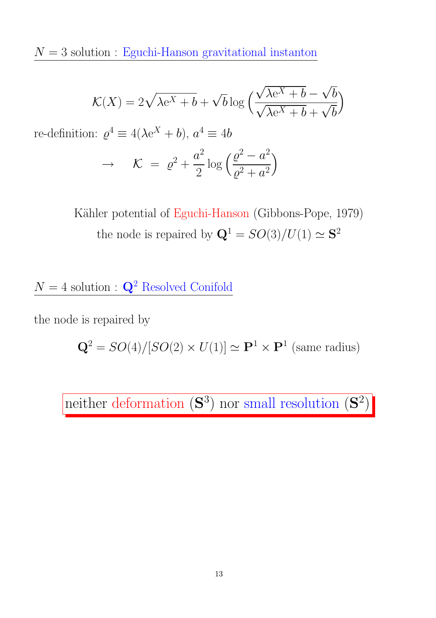${\cal N}=3$  solution : Eguchi-Hanson gravitational instanton

$$
\mathcal{K}(X) = 2\sqrt{\lambda e^X + b} + \sqrt{b} \log \left( \frac{\sqrt{\lambda e^X + b} - \sqrt{b}}{\sqrt{\lambda e^X + b} + \sqrt{b}} \right)
$$

re-definition:  $\varrho^4 \equiv 4(\lambda e^X + b), a^4 \equiv 4b$ 

$$
\rightarrow \qquad \mathcal{K} = \varrho^2 + \frac{a^2}{2} \log \left( \frac{\varrho^2 - a^2}{\varrho^2 + a^2} \right)
$$

Kähler potential of Eguchi-Hanson (Gibbons-Pope, 1979) the node is repaired by  $\mathbf{Q}^1 = SO(3)/U(1) \simeq \mathbf{S}^2$ 

 $N = 4$  solution :  $\mathbf{Q}^2$  Resolved Conifold

the node is repaired by

 $\mathbf{Q}^2 = SO(4)/[SO(2) \times U(1)] \simeq \mathbf{P}^1 \times \mathbf{P}^1$  (same radius)

neither deformation  $(\mathbf{S}^3)$  nor small resolution  $(\mathbf{S}^2)$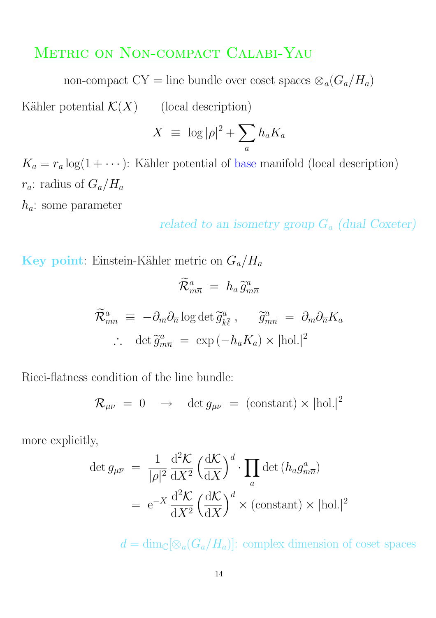### METRIC ON NON-COMPACT CALABI-YAU

non-compact CY = line bundle over coset spaces  $\otimes_a (G_a/H_a)$ 

Kähler potential  $\mathcal{K}(X)$  (local description)

$$
X \equiv \log |\rho|^2 + \sum_a h_a K_a
$$

 $K_a = r_a \log(1 + \cdots)$ : Kähler potential of base manifold (local description)  $r_a$ : radius of  $G_a/H_a$ 

 $h_a$ : some parameter

related to an isometry group  $G_a$  (dual Coxeter)

Key point: Einstein-Kähler metric on  $G_a/H_a$ 

$$
\widetilde{\mathcal{R}}_{m\overline{n}}^a = h_a \widetilde{g}_{m\overline{n}}^a
$$
  

$$
\widetilde{\mathcal{R}}_{m\overline{n}}^a \equiv -\partial_m \partial_{\overline{n}} \log \det \widetilde{g}_{k\overline{\ell}}^a, \quad \widetilde{g}_{m\overline{n}}^a = \partial_m \partial_{\overline{n}} K_a
$$
  

$$
\therefore \det \widetilde{g}_{m\overline{n}}^a = \exp(-h_a K_a) \times |\text{hol.}|^2
$$

Ricci-flatness condition of the line bundle:

$$
\mathcal{R}_{\mu\overline{\nu}} = 0 \rightarrow \det g_{\mu\overline{\nu}} = (\text{constant}) \times |\text{hol.}|^2
$$

more explicitly,

$$
\det g_{\mu\nu} = \frac{1}{|\rho|^2} \frac{d^2 \mathcal{K}}{dX^2} \left(\frac{d\mathcal{K}}{dX}\right)^d \cdot \prod_a \det (h_a g_{m\overline{n}}^a)
$$

$$
= e^{-X} \frac{d^2 \mathcal{K}}{dX^2} \left(\frac{d\mathcal{K}}{dX}\right)^d \times (\text{constant}) \times |\text{hol.}|^2
$$

 $d = \dim_{\mathbb{C}}[\otimes_a(G_a/H_a)]$ : complex dimension of coset spaces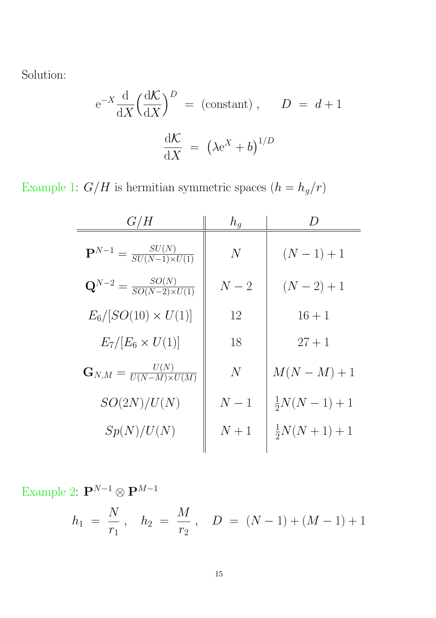Solution:

$$
e^{-X} \frac{d}{dX} \left(\frac{dK}{dX}\right)^D
$$
 = (constant),  $D = d+1$   

$$
\frac{dK}{dX} = \left(\lambda e^X + b\right)^{1/D}
$$

Example 1:  $G/H$  is hermitian symmetric spaces  $\left(h=h_g/r\right)$ 

| G/H                                                 | $h_q$ |                       |
|-----------------------------------------------------|-------|-----------------------|
| ${\bf P}^{N-1} = \frac{SU(N)}{SU(N-1)\times U(1)}$  | N     | $(N-1)+1$             |
| ${\bf Q}^{N-2} = \frac{SO(N)}{SO(N-2)\times U(1)}$  | $N-2$ | $(N-2)+1$             |
| $E_6/[SO(10) \times U(1)]$                          | 12    | $16 + 1$              |
| $E_7/[E_6 \times U(1)]$                             | 18    | $27 + 1$              |
| $\mathbf{G}_{N,M} = \frac{U(N)}{U(N-M)\times U(M)}$ | N     | $M(N-M)+1$            |
| SO(2N)/U(N)                                         | $N-1$ | $\frac{1}{2}N(N-1)+1$ |
| Sp(N)/U(N)                                          | $N+1$ | $\frac{1}{2}N(N+1)+1$ |

Example 2:  $\mathbf{P}^{N-1} \otimes \mathbf{P}^{M-1}$ 

$$
h_1 = \frac{N}{r_1}, \quad h_2 = \frac{M}{r_2}, \quad D = (N-1) + (M-1) + 1
$$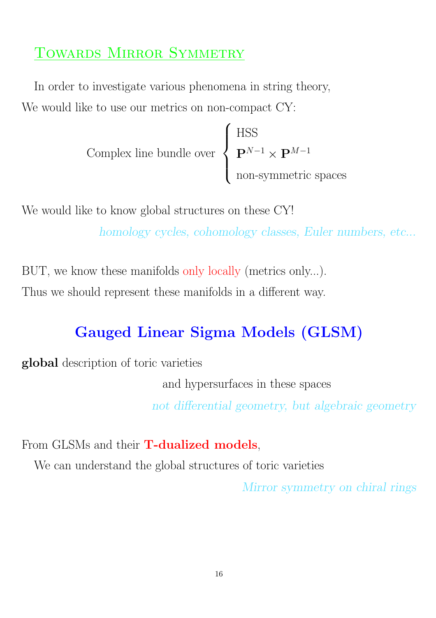## TOWARDS MIRROR SYMMETRY

In order to investigate various phenomena in string theory, We would like to use our metrics on non-compact CY:

> Complex line bundle over  $\sqrt{ }$  $\int$  $\left\lfloor \right\rfloor$ HSS  ${\bf P}^{N-1}\times{\bf P}^{M-1}$ non-symmetric spaces

We would like to know global structures on these CY! homology cycles, cohomology classes, Euler numbers, etc...

BUT, we know these manifolds only locally (metrics only...). Thus we should represent these manifolds in a different way.

# Gauged Linear Sigma Models (GLSM)

global description of toric varieties

and hypersurfaces in these spaces

not differential geometry, but algebraic geometry

From GLSMs and their **T-dualized models**,

We can understand the global structures of toric varieties

Mirror symmetry on chiral rings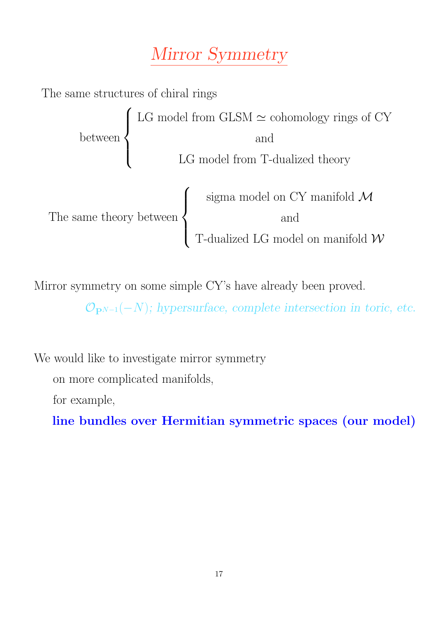# Mirror Symmetry



Mirror symmetry on some simple CY's have already been proved.

 $\mathcal{O}_{{\bf P}^{N-1}}(-N);$  hypersurface, complete intersection in toric, etc.

We would like to investigate mirror symmetry

on more complicated manifolds,

for example,

line bundles over Hermitian symmetric spaces (our model)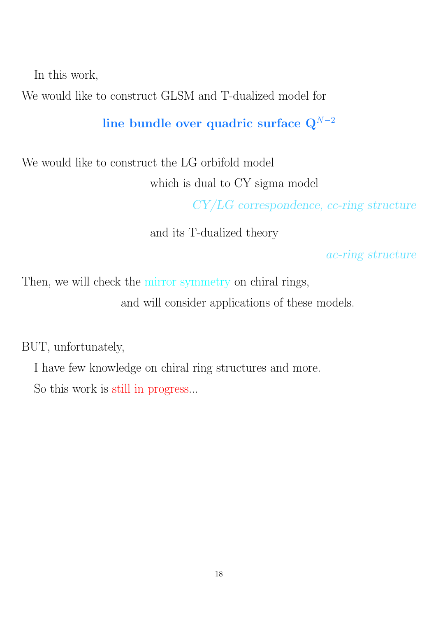In this work,

We would like to construct GLSM and T-dualized model for

line bundle over quadric surface  $Q^{N-2}$ 

We would like to construct the LG orbifold model which is dual to CY sigma model

CY/LG correspondence, cc-ring structure

and its T-dualized theory

ac-ring structure

Then, we will check the mirror symmetry on chiral rings, and will consider applications of these models.

BUT, unfortunately,

I have few knowledge on chiral ring structures and more.

So this work is still in progress...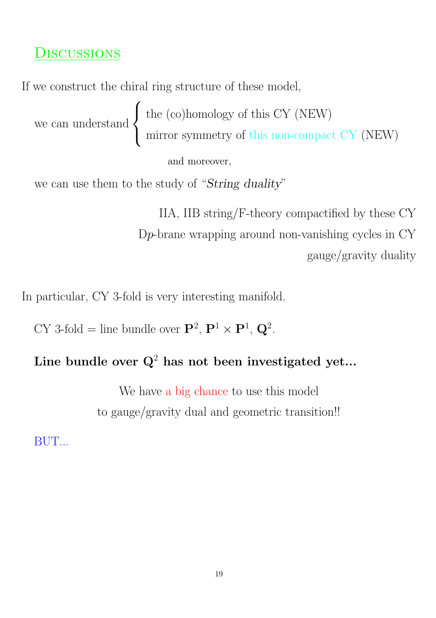### **DISCUSSIONS**

If we construct the chiral ring structure of these model,

we can understand  $\sqrt{ }$  $\int$  $\overline{a}$ the (co)homology of this CY (NEW) mirror symmetry of this non-compact CY (NEW)

and moreover,

we can use them to the study of "String duality"

IIA, IIB string/F-theory compactified by these CY Dp-brane wrapping around non-vanishing cycles in CY gauge/gravity duality

In particular, CY 3-fold is very interesting manifold.

CY 3-fold = line bundle over  $\mathbf{P}^2$ ,  $\mathbf{P}^1 \times \mathbf{P}^1$ ,  $\mathbf{Q}^2$ .

# Line bundle over  $\mathbf{Q}^2$  has not been investigated yet...

We have a big chance to use this model to gauge/gravity dual and geometric transition!!

BUT...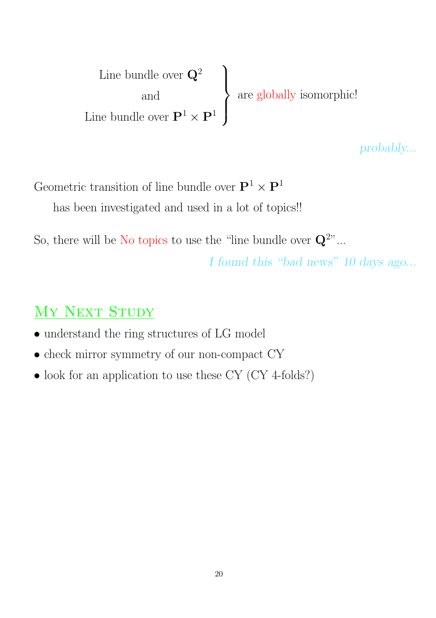Line bundle over  $\mathbf{Q}^2$ and Line bundle over  $\mathbf{P}^1 \times \mathbf{P}^1$  $\mathbf{A}$  $\left\lfloor \right\rfloor$  $\int$ are globally isomorphic!

probably...

Geometric transition of line bundle over  $\mathbf{P}^1 \times \mathbf{P}^1$ has been investigated and used in a lot of topics!!

So, there will be No topics to use the "line bundle over  $\mathbf{Q}^{2n}$ ...

I found this "bad news" 10 days ago...

# MY NEXT STUDY

- $\bullet$  understand the ring structures of LG model
- check mirror symmetry of our non-compact CY
- look for an application to use these CY (CY 4-folds?)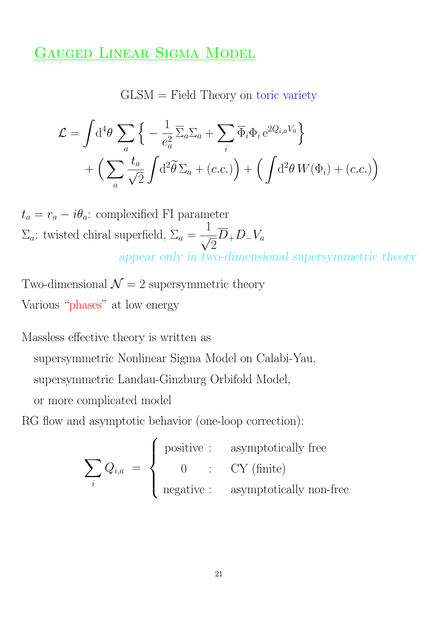### GAUGED LINEAR SIGMA MODEL

GLSM = Field Theory on toric variety

$$
\mathcal{L} = \int d^4 \theta \sum_a \left\{ -\frac{1}{e_a^2} \overline{\Sigma}_a \Sigma_a + \sum_i \overline{\Phi}_i \Phi_i e^{2Q_{i,a}V_a} \right\} + \left( \sum_a \frac{t_a}{\sqrt{2}} \int d^2 \widetilde{\theta} \Sigma_a + (c.c.) \right) + \left( \int d^2 \theta W(\Phi_i) + (c.c.) \right)
$$

 $t_a = r_a - i\theta_a$ : complexified FI parameter  $\Sigma_a$ : twisted chiral superfield,  $\Sigma_a =$ 1 √ 2  $D_+D_-V_a$ appear only in two-dimensional supersymmetric theory

Two-dimensional  $\mathcal{N}=2$  supersymmetric theory Various "phases" at low energy

Massless effective theory is written as supersymmetric Nonlinear Sigma Model on Calabi-Yau, supersymmetric Landau-Ginzburg Orbifold Model,

or more complicated model

RG flow and asymptotic behavior (one-loop correction):

$$
\sum_{i} Q_{i,a} = \begin{cases} \text{positive} : & \text{asymptotically free} \\ 0 & \text{: } \quad \text{CY (finite)} \\ \text{negative} : & \text{asymptotically non-free} \end{cases}
$$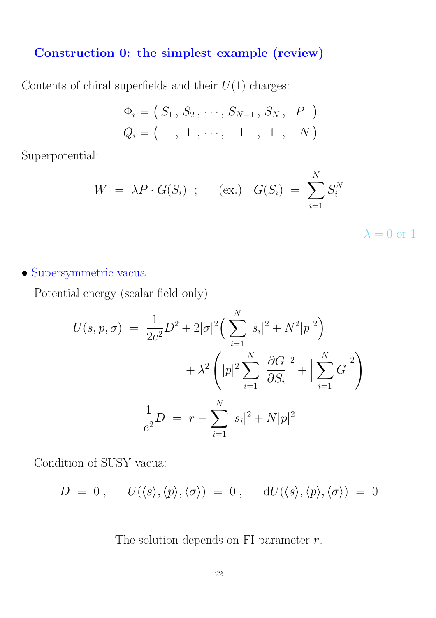### Construction 0: the simplest example (review)

Contents of chiral superfields and their  $U(1)$  charges:

$$
\Phi_i = (S_1, S_2, \cdots, S_{N-1}, S_N, P)
$$
  

$$
Q_i = (1, 1, \cdots, 1, 1, -N)
$$

Superpotential:

$$
W = \lambda P \cdot G(S_i) \quad ; \quad (\text{ex.}) \quad G(S_i) = \sum_{i=1}^{N} S_i^N
$$

 $\lambda = 0$  or 1

• Supersymmetric vacua

Potential energy (scalar field only)

$$
U(s, p, \sigma) = \frac{1}{2e^2}D^2 + 2|\sigma|^2 \left(\sum_{i=1}^N |s_i|^2 + N^2|p|^2\right) + \lambda^2 \left(|p|^2 \sum_{i=1}^N \left|\frac{\partial G}{\partial S_i}\right|^2 + \left|\sum_{i=1}^N G\right|^2\right) \frac{1}{e^2}D = r - \sum_{i=1}^N |s_i|^2 + N|p|^2
$$

Condition of SUSY vacua:

$$
D = 0, \qquad U(\langle s \rangle, \langle p \rangle, \langle \sigma \rangle) = 0, \qquad dU(\langle s \rangle, \langle p \rangle, \langle \sigma \rangle) = 0
$$

The solution depends on FI parameter  $r$ .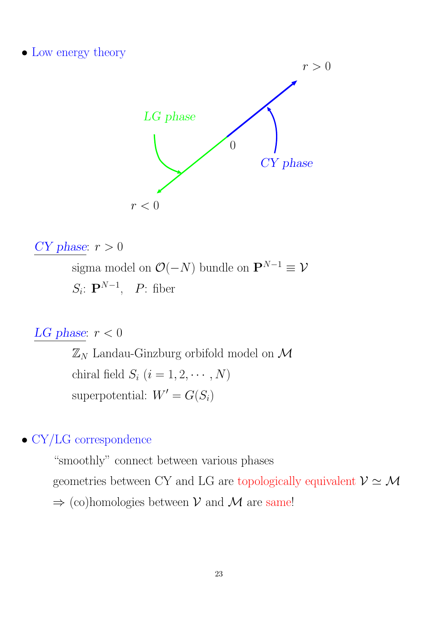• Low energy theory



$$
CY phase: r > 0
$$

sigma model on  $\mathcal{O}(-N)$  bundle on  $\mathbf{P}^{N-1} \equiv \mathcal{V}$  $S_i$ :  $\mathbf{P}^{N-1}$ ,  $P$ : fiber

LG phase:  $r < 0$ 

 $\mathbb{Z}_N$  Landau-Ginzburg orbifold model on  $\mathcal M$ chiral field  $S_i$   $(i = 1, 2, \cdots, N)$ superpotential:  $W' = G(S_i)$ 

### • CY/LG correspondence

"smoothly" connect between various phases geometries between CY and LG are topologically equivalent  $\mathcal{V} \simeq \mathcal{M}$  $\Rightarrow$  (co)homologies between V and M are same!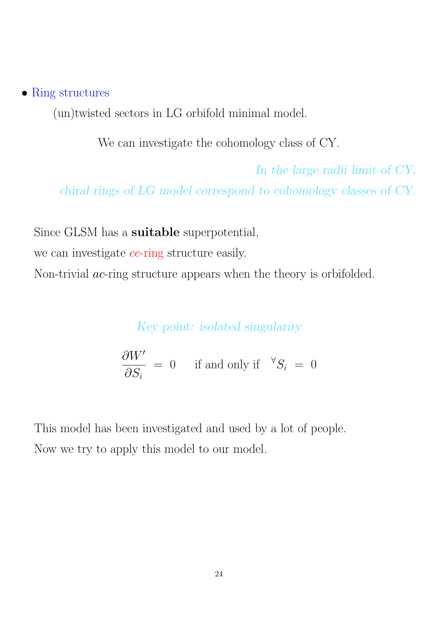#### • Ring structures

(un)twisted sectors in LG orbifold minimal model.

We can investigate the cohomology class of CY.

In the large radii limit of CY, chiral rings of LG model correspond to cohomology classes of CY.

Since GLSM has a suitable superpotential,

we can investigate *cc*-ring structure easily.

Non-trivial *ac*-ring structure appears when the theory is orbifolded.

Key point: isolated singularity

 $\partial W'$  $\partial S_i$  $= 0$  if and only if  $\sqrt[S_i]{s_i} = 0$ 

This model has been investigated and used by a lot of people. Now we try to apply this model to our model.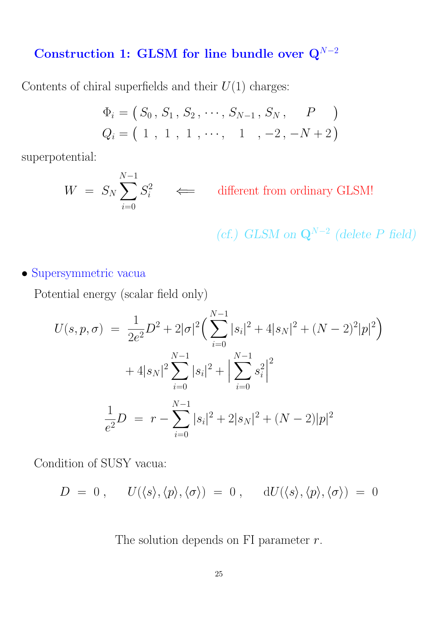# Construction 1: GLSM for line bundle over  $Q^{N-2}$

Contents of chiral superfields and their  $U(1)$  charges:

$$
\Phi_i = (S_0, S_1, S_2, \cdots, S_{N-1}, S_N, P)
$$
  

$$
Q_i = (1, 1, 1, \cdots, 1, -2, -N+2)
$$

superpotential:

$$
W = S_N \sum_{i=0}^{N-1} S_i^2 \iff \text{different from ordinary GLSM!}
$$

(cf.) GLSM on  $\mathbf{Q}^{N-2}$  (delete P field)

• Supersymmetric vacua

Potential energy (scalar field only)

$$
U(s, p, \sigma) = \frac{1}{2e^2}D^2 + 2|\sigma|^2 \left(\sum_{i=0}^{N-1} |s_i|^2 + 4|s_N|^2 + (N-2)^2|p|^2\right) + 4|s_N|^2 \sum_{i=0}^{N-1} |s_i|^2 + \left|\sum_{i=0}^{N-1} s_i^2\right|^2 \frac{1}{e^2}D = r - \sum_{i=0}^{N-1} |s_i|^2 + 2|s_N|^2 + (N-2)|p|^2
$$

Condition of SUSY vacua:

$$
D = 0, \qquad U(\langle s \rangle, \langle p \rangle, \langle \sigma \rangle) = 0, \qquad dU(\langle s \rangle, \langle p \rangle, \langle \sigma \rangle) = 0
$$

The solution depends on FI parameter  $r$ .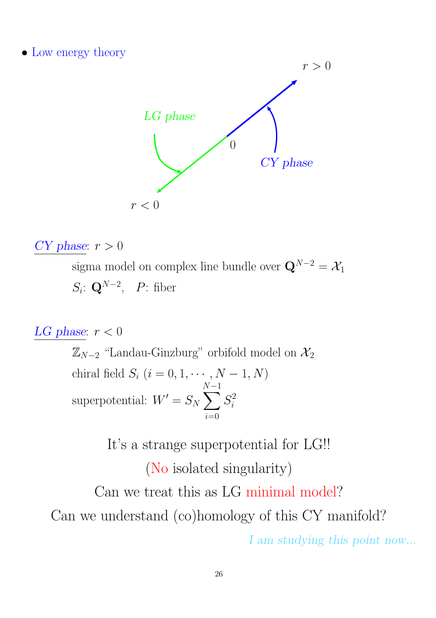• Low energy theory



### CY phase:  $r > 0$

sigma model on complex line bundle over  $\mathbf{Q}^{N-2} = \mathcal{X}_1$  $S_i$ : Q<sup>N-2</sup>, *P*: fiber

LG phase:  $r < 0$ 

 $\mathbb{Z}_{N-2}$  "Landau-Ginzburg" orbifold model on  $\mathcal{X}_2$ chiral field  $S_i$   $(i = 0, 1, \dots, N - 1, N)$ superpotential:  $W' = S_N$ N X−1  $i=0$  $S_i^2$ i

> It's a strange superpotential for LG!! (No isolated singularity)

Can we treat this as LG minimal model? Can we understand (co)homology of this CY manifold? I am studying this point now...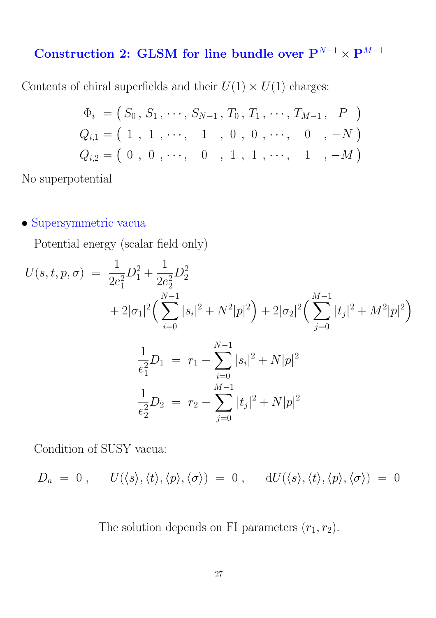# Construction 2: GLSM for line bundle over  $\mathbf{P}^{N-1} \times \mathbf{P}^{M-1}$

Contents of chiral superfields and their  $U(1) \times U(1)$  charges:

$$
\Phi_i = (S_0, S_1, \dots, S_{N-1}, T_0, T_1, \dots, T_{M-1}, P)
$$
  
\n
$$
Q_{i,1} = (1, 1, \dots, 1, 0, 0, \dots, 0, -N)
$$
  
\n
$$
Q_{i,2} = (0, 0, \dots, 0, 1, 1, \dots, 1, -M)
$$

No superpotential

### • Supersymmetric vacua

Potential energy (scalar field only)

$$
U(s,t,p,\sigma) = \frac{1}{2e_1^2}D_1^2 + \frac{1}{2e_2^2}D_2^2
$$
  
+  $2|\sigma_1|^2 \left(\sum_{i=0}^{N-1} |s_i|^2 + N^2|p|^2\right) + 2|\sigma_2|^2 \left(\sum_{j=0}^{M-1} |t_j|^2 + M^2|p|^2\right)$   

$$
\frac{1}{e_1^2}D_1 = r_1 - \sum_{i=0}^{N-1} |s_i|^2 + N|p|^2
$$
  

$$
\frac{1}{e_2^2}D_2 = r_2 - \sum_{j=0}^{M-1} |t_j|^2 + N|p|^2
$$

Condition of SUSY vacua:

$$
D_a = 0, \qquad U(\langle s \rangle, \langle t \rangle, \langle p \rangle, \langle \sigma \rangle) = 0, \qquad dU(\langle s \rangle, \langle t \rangle, \langle p \rangle, \langle \sigma \rangle) = 0
$$

The solution depends on FI parameters  $(r_1, r_2)$ .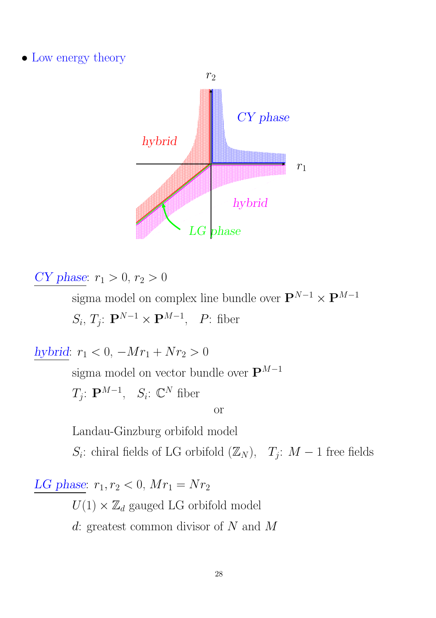• Low energy theory



CY phase:  $r_1 > 0, r_2 > 0$ 

sigma model on complex line bundle over  $\mathbf{P}^{N-1}\times\mathbf{P}^{M-1}$  $S_i, T_j: \mathbf{P}^{N-1} \times \mathbf{P}^{M-1}, P$ : fiber

hybrid:  $r_1 < 0$ ,  $-Mr_1 + Nr_2 > 0$ 

sigma model on vector bundle over  $\mathbf{P}^{M-1}$ 

 $T_j$ :  ${\bf P}^{M-1}, \quad S_i$ :  ${\bf \mathbb{C}}^N$  fiber

or

Landau-Ginzburg orbifold model

 $S_i$ : chiral fields of LG orbifold  $(\mathbb{Z}_N)$ ,  $T_j$ :  $M-1$  free fields

LG phase:  $r_1, r_2 < 0, Mr_1 = Nr_2$ 

 $U(1) \times \mathbb{Z}_d$  gauged LG orbifold model

d: greatest common divisor of N and M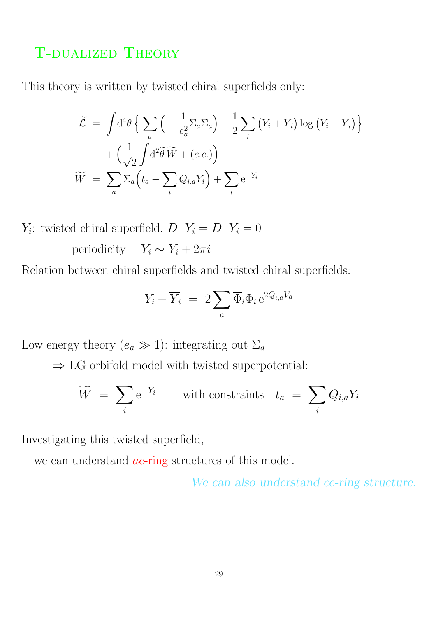### T-dualized Theory

This theory is written by twisted chiral superfields only:

$$
\widetilde{\mathcal{L}} = \int d^4 \theta \left\{ \sum_a \left( -\frac{1}{e_a^2} \overline{\Sigma}_a \Sigma_a \right) - \frac{1}{2} \sum_i \left( Y_i + \overline{Y}_i \right) \log \left( Y_i + \overline{Y}_i \right) \right\} \n+ \left( \frac{1}{\sqrt{2}} \int d^2 \widetilde{\theta} \widetilde{W} + (c.c.) \right) \n\widetilde{W} = \sum_a \Sigma_a \left( t_a - \sum_i Q_{i,a} Y_i \right) + \sum_i e^{-Y_i}
$$

 $Y_i$ : twisted chiral superfield,  $D_+Y_i = D_-Y_i = 0$ periodicity  $Y_i \sim Y_i + 2\pi i$ 

Relation between chiral superfields and twisted chiral superfields:

$$
Y_i + \overline{Y}_i = 2 \sum_a \overline{\Phi}_i \Phi_i e^{2Q_{i,a}V_a}
$$

Low energy theory  $(e_a \gg 1)$ : integrating out  $\Sigma_a$ 

 $\Rightarrow$  LG orbifold model with twisted superpotential:

$$
\widetilde{W} = \sum_{i} e^{-Y_i} \qquad \text{with constraints} \quad t_a = \sum_{i} Q_{i,a} Y_i
$$

Investigating this twisted superfield,

we can understand *ac*-ring structures of this model.

We can also understand cc-ring structure.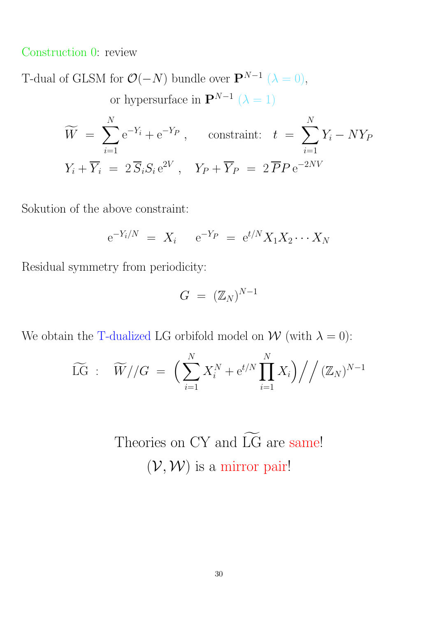Construction 0: review

T-dual of GLSM for  $\mathcal{O}(-N)$  bundle over  $\mathbf{P}^{N-1}$  ( $\lambda = 0$ ), or hypersurface in  $\mathbf{P}^{N-1}$  ( $\lambda = 1$ )

$$
\widetilde{W} = \sum_{i=1}^{N} e^{-Y_i} + e^{-Y_P}, \quad \text{constraint:} \quad t = \sum_{i=1}^{N} Y_i - NY_P
$$

$$
Y_i + \overline{Y}_i = 2\overline{S}_i S_i e^{2V}, \quad Y_P + \overline{Y}_P = 2\overline{P}P e^{-2NV}
$$

Sokution of the above constraint:

$$
e^{-Y_i/N} = X_i
$$
  $e^{-Y_P} = e^{t/N} X_1 X_2 \cdots X_N$ 

Residual symmetry from periodicity:

$$
G = (\mathbb{Z}_N)^{N-1}
$$

We obtain the T-dualized LG orbifold model on  $W$  (with  $\lambda = 0$ ):

$$
\widetilde{\text{LG}} \; : \quad \widetilde{W} // G \; = \; \Big( \sum_{i=1}^N X_i^N + \mathrm{e}^{t/N} \prod_{i=1}^N X_i \Big) \Big/ \Big/ \, (\mathbb{Z}_N)^{N-1}
$$

Theories on CY and  $\widetilde{LG}$  are same!  $(\mathcal{V}, \mathcal{W})$  is a mirror pair!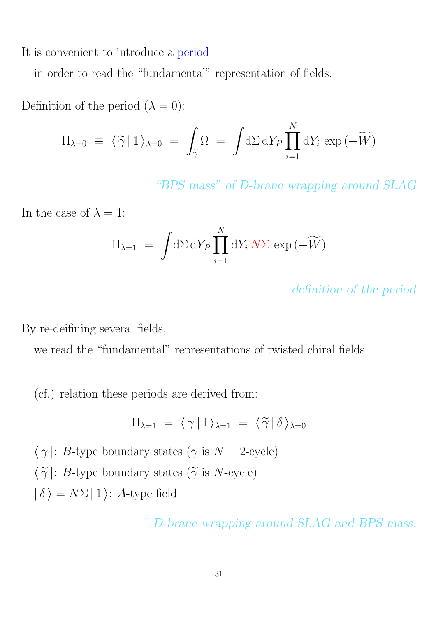It is convenient to introduce a period

in order to read the "fundamental" representation of fields.

Definition of the period  $(\lambda = 0)$ :

$$
\Pi_{\lambda=0} \equiv \langle \widetilde{\gamma} | 1 \rangle_{\lambda=0} = \int_{\widetilde{\gamma}} \Omega = \int d\Sigma \, dY_P \prod_{i=1}^N dY_i \exp(-\widetilde{W})
$$

"BPS mass" of D-brane wrapping around SLAG

In the case of  $\lambda = 1$ :

$$
\Pi_{\lambda=1} = \int d\Sigma \, dY_P \prod_{i=1}^N dY_i N\Sigma \, \exp(-\widetilde{W})
$$

definition of the period

By re-deifining several fields,

we read the "fundamental" representations of twisted chiral fields.

(cf.) relation these periods are derived from:

$$
\Pi_{\lambda=1} = \langle \gamma | 1 \rangle_{\lambda=1} = \langle \widetilde{\gamma} | \delta \rangle_{\lambda=0}
$$

 $\langle \gamma |: B\text{-type boundary states } (\gamma \text{ is } N-2\text{-cycle})$  $\langle \widetilde{\gamma} |: B\text{-type boundary states } (\widetilde{\gamma} \text{ is } N\text{-cycle})$  $| \delta \rangle = N\Sigma | 1 \rangle$ : A-type field

D-brane wrapping around SLAG and BPS mass.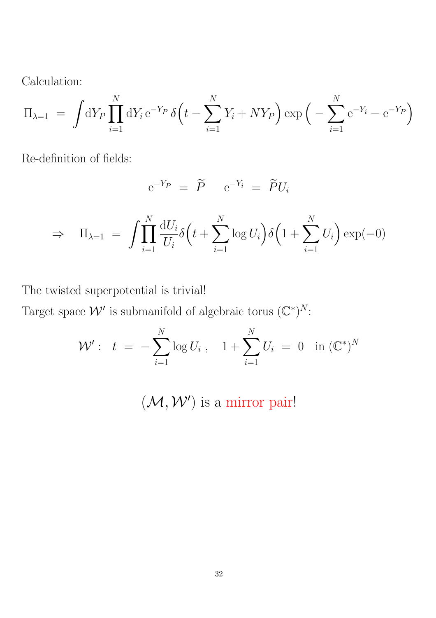Calculation:

$$
\Pi_{\lambda=1} = \int dY_P \prod_{i=1}^N dY_i e^{-Y_P} \delta(t - \sum_{i=1}^N Y_i + NY_P) \exp\left(-\sum_{i=1}^N e^{-Y_i} - e^{-Y_P}\right)
$$

Re-definition of fields:

$$
e^{-Y_P} = \widetilde{P} \qquad e^{-Y_i} = \widetilde{P}U_i
$$

$$
\Rightarrow \Pi_{\lambda=1} = \int \prod_{i=1}^{N} \frac{\mathrm{d}U_i}{U_i} \delta\left(t + \sum_{i=1}^{N} \log U_i\right) \delta\left(1 + \sum_{i=1}^{N} U_i\right) \exp(-0)
$$

The twisted superpotential is trivial!

Target space  $\mathcal{W}'$  is submanifold of algebraic torus  $(\mathbb{C}^*)^N$ :

$$
\mathcal{W}' : t = -\sum_{i=1}^{N} \log U_i, \quad 1 + \sum_{i=1}^{N} U_i = 0 \text{ in } (\mathbb{C}^*)^N
$$

 $(\mathcal{M}, \mathcal{W}')$  is a mirror pair!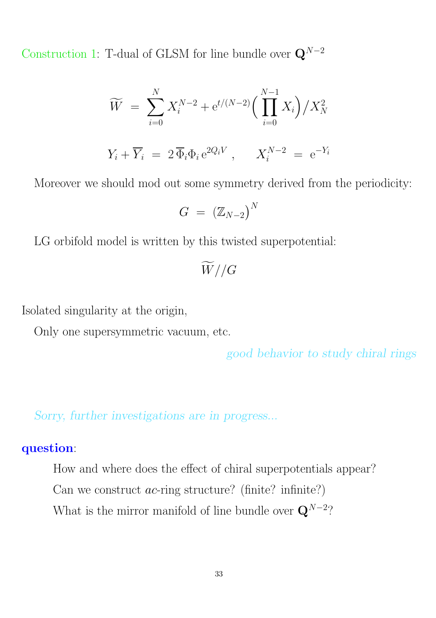Construction 1: T-dual of GLSM for line bundle over  $\mathbf{Q}^{N-2}$ 

$$
\widetilde{W} = \sum_{i=0}^{N} X_i^{N-2} + e^{t/(N-2)} \Big( \prod_{i=0}^{N-1} X_i \Big) / X_N^2
$$
  

$$
Y_i + \overline{Y}_i = 2 \overline{\Phi}_i \Phi_i e^{2Q_i V}, \qquad X_i^{N-2} = e^{-Y_i}
$$

Moreover we should mod out some symmetry derived from the periodicity:

$$
G~=~\left( \mathbb{Z}_{N-2} \right)^N
$$

LG orbifold model is written by this twisted superpotential:

 $\widetilde{W}/\!/G$ 

Isolated singularity at the origin,

Only one supersymmetric vacuum, etc.

good behavior to study chiral rings

Sorry, further investigations are in progress...

#### question:

How and where does the effect of chiral superpotentials appear? Can we construct  $ac$ -ring structure? (finite? infinite?) What is the mirror manifold of line bundle over  $\mathbf{Q}^{N-2}$ ?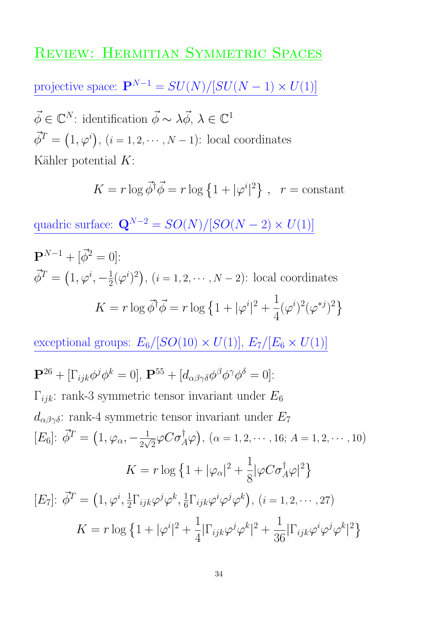### REVIEW: HERMITIAN SYMMETRIC SPACES

projective space:  ${\bf P}^{N-1}=SU(N)/[SU(N-1)\times U(1)]$ 

 $\vec{\phi} \in \mathbb{C}^N$ : identification  $\vec{\phi} \sim \lambda \vec{\phi}, \lambda \in \mathbb{C}^1$  $\vec{\phi}^T = (1, \varphi^i), (i = 1, 2, \cdots, N - 1)$ : local coordinates Kähler potential  $K$ :

> $K = r \log \vec{\phi}^{\dagger} \vec{\phi} = r \log \left\{ 1 + |\varphi^i| \right\}$ | <sup>2</sup>,  $r =$  constant

quadric surface:  $\mathbf{Q}^{N-2} = SO(N)/[SO(N-2) \times U(1)]$ 

$$
\mathbf{P}^{N-1} + [\vec{\phi}^2 = 0]:
$$
  

$$
\vec{\phi}^T = (1, \varphi^i, -\frac{1}{2}(\varphi^i)^2), (i = 1, 2, \cdots, N-2): \text{local coordinates}
$$
  

$$
K = r \log \vec{\phi}^{\dagger} \vec{\phi} = r \log \left\{ 1 + |\varphi^i|^2 + \frac{1}{4}(\varphi^i)^2 (\varphi^{*j})^2 \right\}
$$

exceptional groups:  $E_6/[SO(10) \times U(1)]$ ,  $E_7/[E_6 \times U(1)]$ 

$$
\mathbf{P}^{26} + [\Gamma_{ijk}\phi^j \phi^k = 0], \mathbf{P}^{55} + [d_{\alpha\beta\gamma\delta}\phi^{\beta}\phi^{\gamma}\phi^{\delta} = 0]:
$$
  
\n
$$
\Gamma_{ijk}: \text{rank-3 symmetric tensor invariant under } E_6
$$
  
\n
$$
d_{\alpha\beta\gamma\delta}: \text{rank-4 symmetric tensor invariant under } E_7
$$
  
\n
$$
[E_6]: \vec{\phi}^T = (1, \varphi_\alpha, -\frac{1}{2\sqrt{2}}\varphi C \sigma_A^{\dagger}\varphi), (\alpha = 1, 2, \cdots, 16; A = 1, 2, \cdots, 10)
$$
  
\n
$$
K = r \log \{1 + |\varphi_\alpha|^2 + \frac{1}{8} |\varphi C \sigma_A^{\dagger}\varphi|^2 \}
$$
  
\n
$$
[E_7]: \vec{\phi}^T = (1, \varphi^i, \frac{1}{2} \Gamma_{ijk}\varphi^j \varphi^k, \frac{1}{6} \Gamma_{ijk}\varphi^i \varphi^j \varphi^k), (i = 1, 2, \cdots, 27)
$$
  
\n
$$
K = r \log \{1 + |\varphi^i|^2 + \frac{1}{4} |\Gamma_{ijk}\varphi^j \varphi^k|^2 + \frac{1}{36} |\Gamma_{ijk}\varphi^i \varphi^j \varphi^k|^2 \}
$$